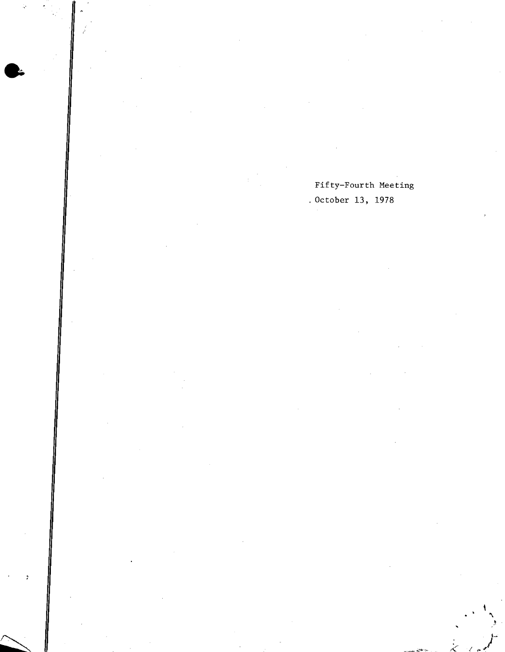Fifty-Fourth Meeting October 13, 1978

l et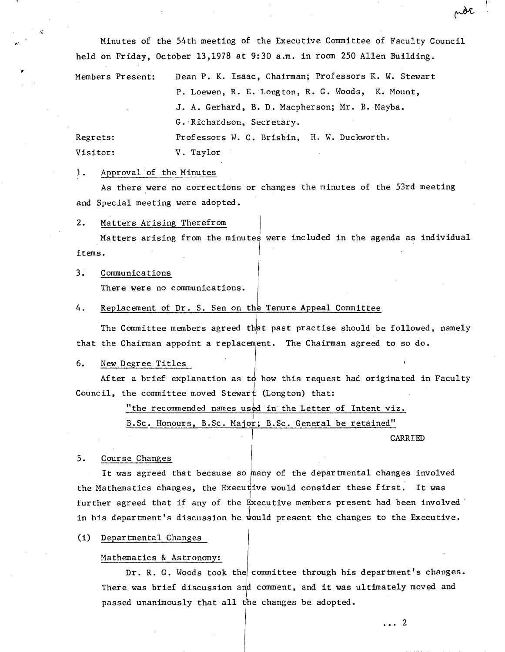Minutes of the 54th meeting of the Executive Committee of Faculty Council held on Friday, October 13,1978 at 9:30 a.m. in room 250 Allen Building.

Members Present: Dean P. K. Isaac, Chairman; Professors K. W. Stewart P. Loewen, R. E.Longton, R. G. Woods, K. Mount, J. A. Gerhard, B. D. Macpherson; Mr. B. Mayba. G. Richardson, Secretary. Regrets: Professors W. C. Brisbin, H. W. Duckworth. Visitor: V. Taylor

#### 1. Approval of the Minutes

As there were no corrections or changes the minutes of the 53rd meeting and Special meeting were adopted.

#### $2.$ Matters Arising Therefrom

Matters arising from the minutes were included in the agenda as individual items.

#### $3.$ Communications

There were no communications.

#### 4. Replacement of Dr. S. Sen on the Tenure Appeal Committee

The Committee members agreed that past practise should be followed, namely that the Chairman appoint a replacement. The Chairman agreed to so do.

### 6. New Degree Titles

After a brief explanation as to how this request had originated in Faculty  $\,$ Council, the committee moved Stewart (Longton) that:

"the recommended names used in the Letter of Intent viz.

B.Sc. Honours, B.Sc. Major; B.Sc. General be retained"

CARRIED

### 5. Course Changes

It was agreed that because so many of the departmental changes involved the Mathematics changes, the Executive would consider these first. It was further agreed that if any of the Executive members present had been involved in his department's discussion he would present the changes to the Executive.

(1) Departmental Changes

## Mathematics & Astronomy:

Dr. R. G. Woods took the committee through his department's changes. There was brief discussion and comment, and it was ultimately moved and passed unanimously that all the changes be adopted.

 $\ldots$  2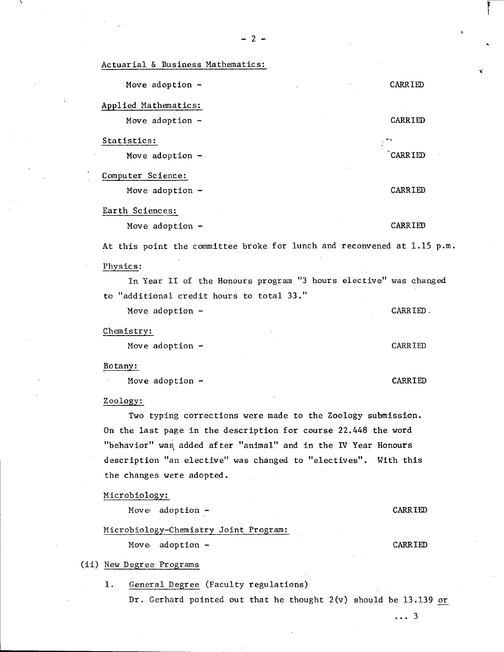|  |  | Actuarial & Business Mathematics: |
|--|--|-----------------------------------|
|  |  |                                   |
|  |  |                                   |

| Move adoption -                                                         | CARRIED        |  |  |  |
|-------------------------------------------------------------------------|----------------|--|--|--|
| Applied Mathematics:                                                    |                |  |  |  |
| Move adoption -                                                         | CARRIED        |  |  |  |
| Statistics:                                                             |                |  |  |  |
| Move adoption $-$                                                       | CARRIED        |  |  |  |
| Computer Science:                                                       |                |  |  |  |
| Move adoption -                                                         | CARRIED        |  |  |  |
| Earth Sciences:                                                         |                |  |  |  |
| Move adoption -                                                         | CARRIED        |  |  |  |
| At this point the committee broke for lunch and reconvened at 1.15 p.m. |                |  |  |  |
| Physics:                                                                |                |  |  |  |
| In Year II of the Honours program "3 hours elective" was changed        |                |  |  |  |
| to "additional credit hours to total 33."                               |                |  |  |  |
| Move adoption -                                                         | CARRIED.       |  |  |  |
| Chemistry:                                                              |                |  |  |  |
| Move adoption -                                                         | CARRIED        |  |  |  |
| Botany:                                                                 |                |  |  |  |
| Move adoption -                                                         | CARRIED        |  |  |  |
| Zoology:                                                                |                |  |  |  |
| Two typing corrections were made to the Zoology submission.             |                |  |  |  |
| On the last page in the description for course 22.448 the word          |                |  |  |  |
| behavior" was added after "animal" and in the IV Year Honours           |                |  |  |  |
| description "an elective" was changed to "electives". With this         |                |  |  |  |
| the changes were adopted.                                               |                |  |  |  |
| Microbiology:                                                           |                |  |  |  |
| Move adoption -                                                         | <b>CARRIED</b> |  |  |  |

# Microbiology-Chemistry Joint Program:

Move adoption - CARRIED

(ii) New Degree Programs

1. General Degree (Faculty regulations)

Dr. Gerhard pointed out that he thought 2(v) should be 13.139 or

 $\cdots$  3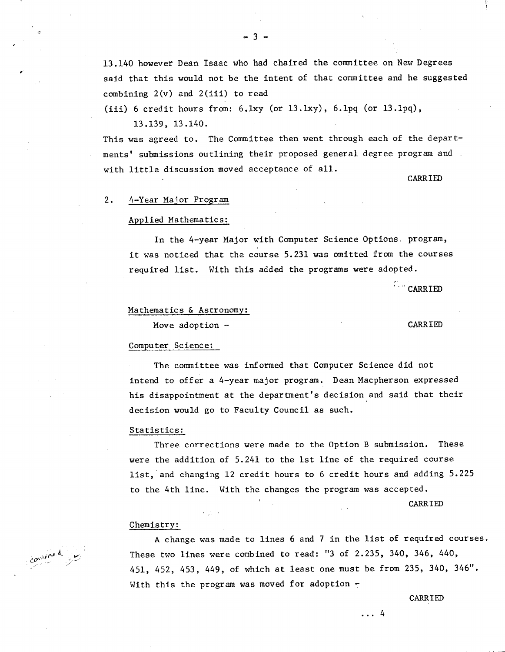13.140 however Dean Isaac who had chaired the committee on New Degrees said that this would not be the intent of that committee and he suggested combining  $2(v)$  and  $2(iii)$  to read

(iii) 6 credit hours from:  $6.1xy$  (or  $13.1xy$ ),  $6.1pq$  (or  $13.1pq$ ), 13.139, 13.140.

This was agreed to. The Committee then went through each of the departments' submissions outlining their proposed general degree program and with little discussion moved acceptance of all.

CARRIED

### 2. 4-Year Major Program

#### Applied Mathematics:

In the 4-year Major with Computer Science Options. program, it was noticed that the course 5.231 was omitted from the courses required list. With this added the programs were adopted.

Carried

# Mathematics & Astronomy:

Move adoption - CARRIED

#### Computer Science:

The committee was informed that Computer Science did not intend to offer a 4-year major program. Dean Macpherson expressed his disappointment at the department's decision and said that their decision would go to Faculty Council as such.

#### Statistics:

Three corrections were made to the Option B submission. These were the addition of 5.241 to the 1st line of the required course list, and changing 12 credit hours to 6 credit hours and adding 5.225 to the 4th line. With the changes the program was accepted.

CARRIED

#### Chemistry:

A change was made to lines 6 and 7 in the list of required courses. These two lines were combined to read: "3 of 2.235, 340, 346, 440, 451, 452, 453, 449, of which at least one must be from 235, 340, 346". With this the program was moved for adoption  $-$ 

CARRIED

combined by

 $\ldots$ <sup>4</sup>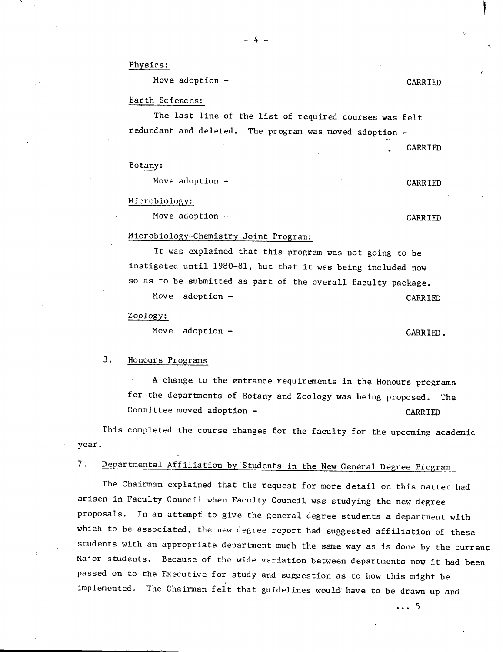-4-

Physics:

Move adoption - CARRIED

V

### Earth Sciences:

The last line of the list of required courses was felt redundant and deleted. The program was moved adoption

CARRIED

#### Botany:

Move adoption - CARRIED

Microbiology:

Move adoption - CARRIED

# Microbiology-Chemistry Joint Program:

It was explained that this program was not going to be instigated until 1980-81, but that it was being included now so as to be submitted as part of the overall faculty package.

Move adoption - CARRIED

# Zoology:

Move adoption - CARRIED.

## 3. Honours Programs

A change to the entrance requirements in the Honours programs for the departments of Botany and Zoology was being proposed. The Committee moved adoption - CARRIED

This completed the course changes for the faculty for the upcoming academic year.

# 7. Departmental Affiliation by Students in the New General Degree Program

The Chairman explained that the request for more detail on this matter had arisen in Faculty Council when Faculty Council was studying the new degree proposals. In an attempt to give the general degree students a department with which to be associated, the new degree report had suggested affiliation of these students with an appropriate department much the same way as is done by the current Major students. Because of the wide variation between departments now it had been passed on to the Executive for study and suggestion as to how this might be implemented. The Chairman felt that guidelines would have to be drawn up and

... 5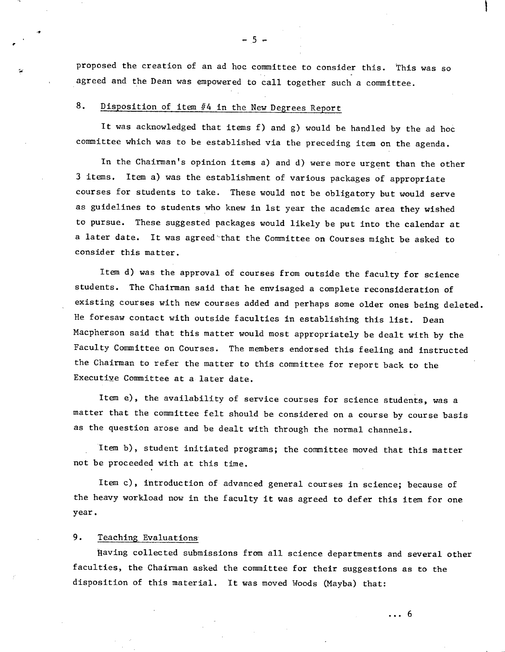proposed the creation of an ad hoc committee to consider this. This was so agreed and the Dean was empowered to call together such a committee.

# 8. Disposition of item #4 in the New Degrees Report

It was acknowledged that items f) and g) would be handled by the ad hoc committee which was to be established via the preceding item on the agenda.

In the Chairman's opinion items a) and d) were more urgent than the other 3 items. Item a) was the establisbment of various packages of appropriate courses for students to take. These would not be obligatory but would serve as guidelines to students who knew in 1st year the academic area they wished to pursue. These suggested packages would likely be put into the calendar at a later date. It was agreed that the Committee on Courses might be asked to consider this matter.

Item d) was the approval of courses from outside the faculty for science students. The Chairman said that he envisaged a complete reconsideration of existing courses with new courses added and perhaps some older ones being deleted. He foresaw contact with outside faculties in establishing this list. Dean Macpherson said that this matter would most appropriately be dealt with by the Faculty Committee on Courses. The members endorsed this feeling and instructed the Chairman to refer the matter to this committee for report back to the Executive Committee at a later date.

Item e), the availability of service courses for science students, was a matter that the committee felt should be considered on a course by course basis as the question arose and be dealt with through the normal channels.

Item b), student initiated programs; the committee moved that this matter not be proceeded with at this time.

Item c), introduction of advanced general courses in science; because of the heavy workload now in the faculty it was agreed to defer this item for one year.

## 9. Teaching Evaluations

1aving collected submissions from all science departments and several other faculties, the Chairman asked the committee for their suggestions as to the disposition of this material. It was moved Woods (Mayba) that:

 $\ldots 6$ 

 $-5 -$